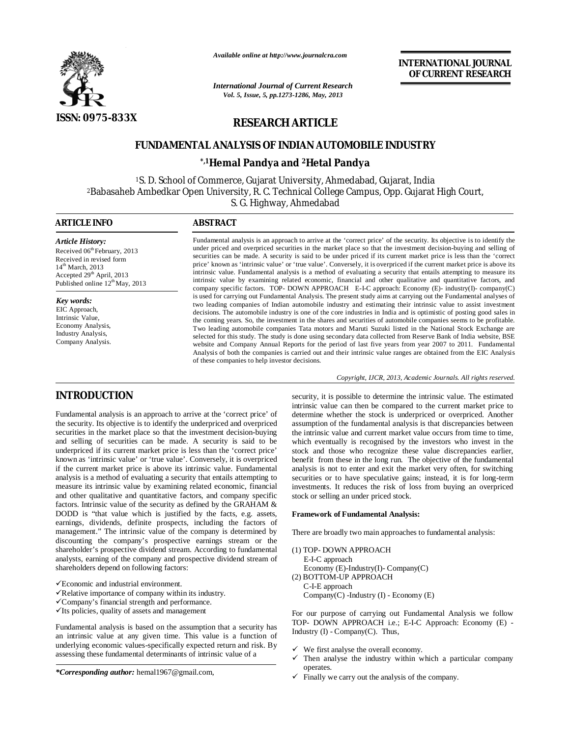

*Available online at http://www.journalcra.com*

*International Journal of Current Research Vol. 5, Issue, 5, pp.1273-1286, May, 2013*

**INTERNATIONAL JOURNAL OF CURRENT RESEARCH** 

# **RESEARCH ARTICLE**

# **FUNDAMENTAL ANALYSIS OF INDIAN AUTOMOBILE INDUSTRY**

# **\*,1Hemal Pandya and 2Hetal Pandya**

<sup>1</sup>S. D. School of Commerce, Gujarat University, Ahmedabad, Gujarat, India <sup>2</sup>Babasaheb Ambedkar Open University, R. C. Technical College Campus, Opp. Gujarat High Court, S. G. Highway, Ahmedabad

# **ARTICLE INFO ABSTRACT**

*Article History:* Received 06<sup>th</sup> February, 2013 Received in revised form 14<sup>th</sup> March, 2013 Accepted 29<sup>th</sup> April, 2013 Published online  $12^{th}$ May, 2013

# *Key words:*

EIC Approach, Intrinsic Value, Economy Analysis, Industry Analysis, Company Analysis.

# **INTRODUCTION**

Fundamental analysis is an approach to arrive at the 'correct price' of the security. Its objective is to identify the underpriced and overpriced securities in the market place so that the investment decision-buying and selling of securities can be made. A security is said to be underpriced if its current market price is less than the 'correct price' known as 'intrinsic value' or 'true value'. Conversely, it is overpriced if the current market price is above its intrinsic value. Fundamental analysis is a method of evaluating a security that entails attempting to measure its intrinsic value by examining related economic, financial and other qualitative and quantitative factors, and company specific factors. Intrinsic value of the security as defined by the GRAHAM & DODD is "that value which is justified by the facts, e.g. assets, earnings, dividends, definite prospects, including the factors of management." The intrinsic value of the company is determined by discounting the company's prospective earnings stream or the shareholder's prospective dividend stream. According to fundamental analysts, earning of the company and prospective dividend stream of shareholders depend on following factors:

- Economic and industrial environment.
- $\checkmark$  Relative importance of company within its industry.
- Company's financial strength and performance.
- $\checkmark$ Its policies, quality of assets and management

Fundamental analysis is based on the assumption that a security has an intrinsic value at any given time. This value is a function of underlying economic values-specifically expected return and risk. By assessing these fundamental determinants of intrinsic value of a

securities can be made. A security is said to be under priced if its current market price is less than the 'correct price' known as 'intrinsic value' or 'true value'. Conversely, it is overpriced if the current market price is above its intrinsic value. Fundamental analysis is a method of evaluating a security that entails attempting to measure its intrinsic value by examining related economic, financial and other qualitative and quantitative factors, and company specific factors. TOP- DOWN APPROACH E-I-C approach: Economy (E)- industry(I)- company(C) is used for carrying out Fundamental Analysis. The present study aims at carrying out the Fundamental analyses of two leading companies of Indian automobile industry and estimating their intrinsic value to assist investment decisions. The automobile industry is one of the core industries in India and is optimistic of posting good sales in the coming years. So, the investment in the shares and securities of automobile companies seems to be profitable. Two leading automobile companies Tata motors and Maruti Suzuki listed in the National Stock Exchange are selected for this study. The study is done using secondary data collected from Reserve Bank of India website, BSE website and Company Annual Reports for the period of last five years from year 2007 to 2011. Fundamental Analysis of both the companies is carried out and their intrinsic value ranges are obtained from the EIC Analysis of these companies to help investor decisions.

Fundamental analysis is an approach to arrive at the 'correct price' of the security. Its objective is to identify the under priced and overpriced securities in the market place so that the investment decision-buying and selling of

*Copyright, IJCR, 2013, Academic Journals. All rights reserved.*

security, it is possible to determine the intrinsic value. The estimated intrinsic value can then be compared to the current market price to determine whether the stock is underpriced or overpriced. Another assumption of the fundamental analysis is that discrepancies between the intrinsic value and current market value occurs from time to time, which eventually is recognised by the investors who invest in the stock and those who recognize these value discrepancies earlier, benefit from these in the long run. The objective of the fundamental analysis is not to enter and exit the market very often, for switching securities or to have speculative gains; instead, it is for long-term investments. It reduces the risk of loss from buying an overpriced stock or selling an under priced stock.

# **Framework of Fundamental Analysis:**

There are broadly two main approaches to fundamental analysis:

- (1) TOP- DOWN APPROACH
- E-I-C approach
- Economy (E)-Industry(I)- Company(C) (2) BOTTOM-UP APPROACH

 C-I-E approach Company(C) -Industry (I) - Economy (E)

For our purpose of carrying out Fundamental Analysis we follow TOP- DOWN APPROACH i.e.; E-I-C Approach: Economy (E) - Industry (I) - Company(C). Thus,

- $\checkmark$  We first analyse the overall economy.<br> $\checkmark$  Then analyse the industry within w
- Then analyse the industry within which a particular company operates.
- $\checkmark$  Finally we carry out the analysis of the company.

*<sup>\*</sup>Corresponding author:* hemal1967@gmail.com,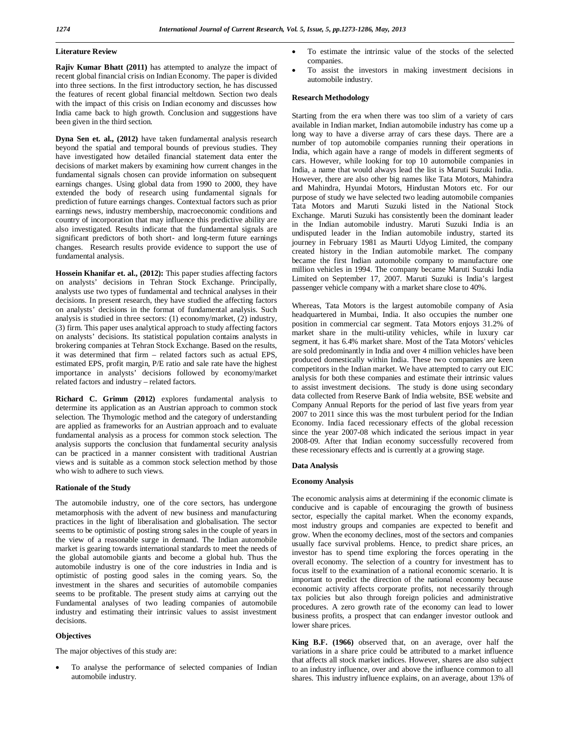# **Literature Review**

**Rajiv Kumar Bhatt (2011)** has attempted to analyze the impact of recent global financial crisis on Indian Economy. The paper is divided into three sections. In the first introductory section, he has discussed the features of recent global financial meltdown. Section two deals with the impact of this crisis on Indian economy and discusses how India came back to high growth. Conclusion and suggestions have been given in the third section.

**Dyna Sen et. al., (2012)** have taken fundamental analysis research beyond the spatial and temporal bounds of previous studies. They have investigated how detailed financial statement data enter the decisions of market makers by examining how current changes in the fundamental signals chosen can provide information on subsequent earnings changes. Using global data from 1990 to 2000, they have extended the body of research using fundamental signals for prediction of future earnings changes. Contextual factors such as prior earnings news, industry membership, macroeconomic conditions and country of incorporation that may influence this predictive ability are also investigated. Results indicate that the fundamental signals are significant predictors of both short- and long-term future earnings changes. Research results provide evidence to support the use of fundamental analysis.

**Hossein Khanifar et. al., (2012):** This paper studies affecting factors on analysts' decisions in Tehran Stock Exchange. Principally, analysts use two types of fundamental and technical analyses in their decisions. In present research, they have studied the affecting factors on analysts' decisions in the format of fundamental analysis. Such analysis is studied in three sectors: (1) economy/market, (2) industry, (3) firm. This paper uses analytical approach to study affecting factors on analysts' decisions. Its statistical population contains analysts in brokering companies at Tehran Stock Exchange. Based on the results, it was determined that firm – related factors such as actual EPS, estimated EPS, profit margin, P/E ratio and sale rate have the highest importance in analysts' decisions followed by economy/market related factors and industry – related factors.

**Richard C. Grimm (2012)** explores fundamental analysis to determine its application as an Austrian approach to common stock selection. The Thymologic method and the category of understanding are applied as frameworks for an Austrian approach and to evaluate fundamental analysis as a process for common stock selection. The analysis supports the conclusion that fundamental security analysis can be practiced in a manner consistent with traditional Austrian views and is suitable as a common stock selection method by those who wish to adhere to such views.

# **Rationale of the Study**

The automobile industry, one of the core sectors, has undergone metamorphosis with the advent of new business and manufacturing practices in the light of liberalisation and globalisation. The sector seems to be optimistic of posting strong sales in the couple of years in the view of a reasonable surge in demand. The Indian automobile market is gearing towards international standards to meet the needs of the global automobile giants and become a global hub. Thus the automobile industry is one of the core industries in India and is optimistic of posting good sales in the coming years. So, the investment in the shares and securities of automobile companies seems to be profitable. The present study aims at carrying out the Fundamental analyses of two leading companies of automobile industry and estimating their intrinsic values to assist investment decisions.

# **Objectives**

The major objectives of this study are:

 To analyse the performance of selected companies of Indian automobile industry.

- To estimate the intrinsic value of the stocks of the selected companies.
- To assist the investors in making investment decisions in automobile industry.

# **Research Methodology**

Starting from the era when there was too slim of a variety of cars available in Indian market, Indian automobile industry has come up a long way to have a diverse array of cars these days. There are a number of top automobile companies running their operations in India, which again have a range of models in different segments of cars. However, while looking for top 10 automobile companies in India, a name that would always lead the list is Maruti Suzuki India. However, there are also other big names like Tata Motors, Mahindra and Mahindra, Hyundai Motors, Hindustan Motors etc. For our purpose of study we have selected two leading automobile companies Tata Motors and Maruti Suzuki listed in the National Stock Exchange. Maruti Suzuki has consistently been the dominant leader in the Indian automobile industry. Maruti Suzuki India is an undisputed leader in the Indian automobile industry, started its journey in February 1981 as Maurti Udyog Limited, the company created history in the Indian automobile market. The company became the first Indian automobile company to manufacture one million vehicles in 1994. The company became Maruti Suzuki India Limited on September 17, 2007. Maruti Suzuki is India's largest passenger vehicle company with a market share close to 40%.

Whereas, Tata Motors is the largest automobile company of Asia headquartered in Mumbai, India. It also occupies the number one position in commercial car segment. Tata Motors enjoys 31.2% of market share in the multi-utility vehicles, while in luxury car segment, it has 6.4% market share. Most of the Tata Motors' vehicles are sold predominantly in India and over 4 million vehicles have been produced domestically within India. These two companies are keen competitors in the Indian market. We have attempted to carry out EIC analysis for both these companies and estimate their intrinsic values to assist investment decisions. The study is done using secondary data collected from Reserve Bank of India website, BSE website and Company Annual Reports for the period of last five years from year 2007 to 2011 since this was the most turbulent period for the Indian Economy. India faced recessionary effects of the global recession since the year 2007-08 which indicated the serious impact in year 2008-09. After that Indian economy successfully recovered from these recessionary effects and is currently at a growing stage.

# **Data Analysis**

# **Economy Analysis**

The economic analysis aims at determining if the economic climate is conducive and is capable of encouraging the growth of business sector, especially the capital market. When the economy expands, most industry groups and companies are expected to benefit and grow. When the economy declines, most of the sectors and companies usually face survival problems. Hence, to predict share prices, an investor has to spend time exploring the forces operating in the overall economy. The selection of a country for investment has to focus itself to the examination of a national economic scenario. It is important to predict the direction of the national economy because economic activity affects corporate profits, not necessarily through tax policies but also through foreign policies and administrative procedures. A zero growth rate of the economy can lead to lower business profits, a prospect that can endanger investor outlook and lower share prices.

**King B.F. (1966)** observed that, on an average, over half the variations in a share price could be attributed to a market influence that affects all stock market indices. However, shares are also subject to an industry influence, over and above the influence common to all shares. This industry influence explains, on an average, about 13% of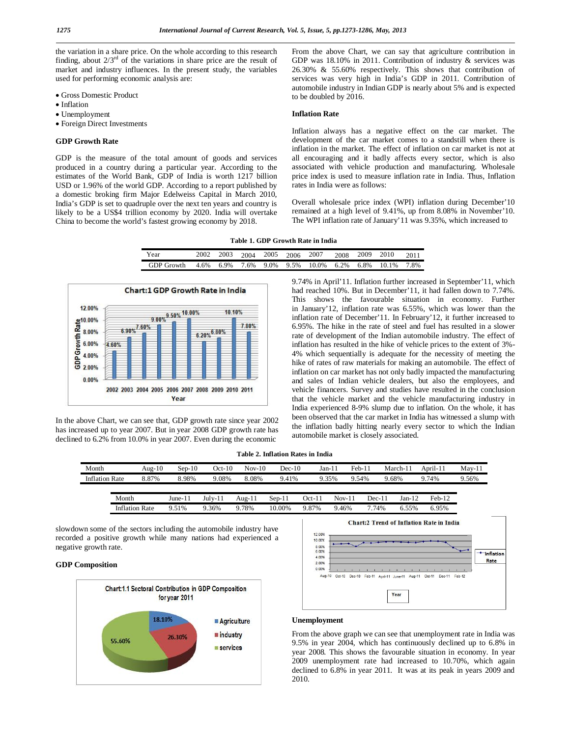the variation in a share price. On the whole according to this research finding, about  $2/3<sup>rd</sup>$  of the variations in share price are the result of market and industry influences. In the present study, the variables used for performing economic analysis are:

- Gross Domestic Product
- Inflation
- Unemployment
- Foreign Direct Investments

# **GDP Growth Rate**

GDP is the measure of the total amount of goods and services produced in a country during a particular year. According to the estimates of the World Bank, GDP of India is worth 1217 billion USD or 1.96% of the world GDP. According to a report published by a domestic broking firm Major Edelweiss Capital in March 2010, India's GDP is set to quadruple over the next ten years and country is likely to be a US\$4 trillion economy by 2020. India will overtake China to become the world's fastest growing economy by 2018.

From the above Chart, we can say that agriculture contribution in GDP was 18.10% in 2011. Contribution of industry & services was 26.30% & 55.60% respectively. This shows that contribution of services was very high in India's GDP in 2011. Contribution of automobile industry in Indian GDP is nearly about 5% and is expected to be doubled by 2016.

# **Inflation Rate**

Inflation always has a negative effect on the car market. The development of the car market comes to a standstill when there is inflation in the market. The effect of inflation on car market is not at all encouraging and it badly affects every sector, which is also associated with vehicle production and manufacturing. Wholesale price index is used to measure inflation rate in India. Thus, Inflation rates in India were as follows:

Overall wholesale price index (WPI) inflation during December'10 remained at a high level of 9.41%, up from 8.08% in November'10. The WPI inflation rate of January'11 was 9.35%, which increased to

| Table 1. GDP Growth Rate in India |  |  |  |  |  |
|-----------------------------------|--|--|--|--|--|
|-----------------------------------|--|--|--|--|--|

| Year       | 2002 | 2003 | 2004 | 2005 | 2006 | 2007  | 2008 | 2009 | 2010  | 2011 |
|------------|------|------|------|------|------|-------|------|------|-------|------|
| GDP Growth | 4.6% | 6.9% | 7.6% | 9.0% | 9.5% | 10.0% | 6.2% | 6.8% | 10.1% | 7.8% |



In the above Chart, we can see that, GDP growth rate since year 2002 has increased up to year 2007. But in year 2008 GDP growth rate has declined to 6.2% from 10.0% in year 2007. Even during the economic

9.74% in April'11. Inflation further increased in September'11, which had reached 10%. But in December'11, it had fallen down to 7.74%. This shows the favourable situation in economy. Further in January'12, inflation rate was 6.55%, which was lower than the inflation rate of December'11. In February'12, it further increased to 6.95%. The hike in the rate of steel and fuel has resulted in a slower rate of development of the Indian automobile industry. The effect of inflation has resulted in the hike of vehicle prices to the extent of 3%- 4% which sequentially is adequate for the necessity of meeting the hike of rates of raw materials for making an automobile. The effect of inflation on car market has not only badly impacted the manufacturing and sales of Indian vehicle dealers, but also the employees, and vehicle financers. Survey and studies have resulted in the conclusion that the vehicle market and the vehicle manufacturing industry in India experienced 8-9% slump due to inflation. On the whole, it has been observed that the car market in India has witnessed a slump with the inflation badly hitting nearly every sector to which the Indian automobile market is closely associated.

**Table 2. Inflation Rates in India**

| Month                 |                       | Aug- $10$ | $Sep-10$ | $Oct-10$ | $Nov-10$ | $Dec-10$ | Jan-11 |                | $Feb-11$ | March-11 | April-11 | $Mav-11$ |
|-----------------------|-----------------------|-----------|----------|----------|----------|----------|--------|----------------|----------|----------|----------|----------|
| <b>Inflation Rate</b> |                       | 8.87%     | 8.98%    | 9.08%    | 8.08%    | 9.41%    |        | 9.35%<br>9.54% |          | 9.68%    | 9.74%    | 9.56%    |
|                       |                       |           |          |          |          |          |        |                |          |          |          |          |
|                       | Month                 |           | June-11  | July-11  | Aug-11   | Sep-11   | Oct-11 | $Nov-11$       | Dec-11   | $Jan-12$ | $Feh-12$ |          |
|                       | <b>Inflation Rate</b> |           | 9.51%    | 9.36%    | 9.78%    | 10.00%   | 9.87%  | 9.46%          | 7.74%    | 6.55%    | 6.95%    |          |

slowdown some of the sectors including the automobile industry have recorded a positive growth while many nations had experienced a negative growth rate.

# **GDP Composition**





#### **Unemployment**

From the above graph we can see that unemployment rate in India was 9.5% in year 2004, which has continuously declined up to 6.8% in year 2008. This shows the favourable situation in economy. In year 2009 unemployment rate had increased to 10.70%, which again declined to 6.8% in year 2011. It was at its peak in years 2009 and 2010.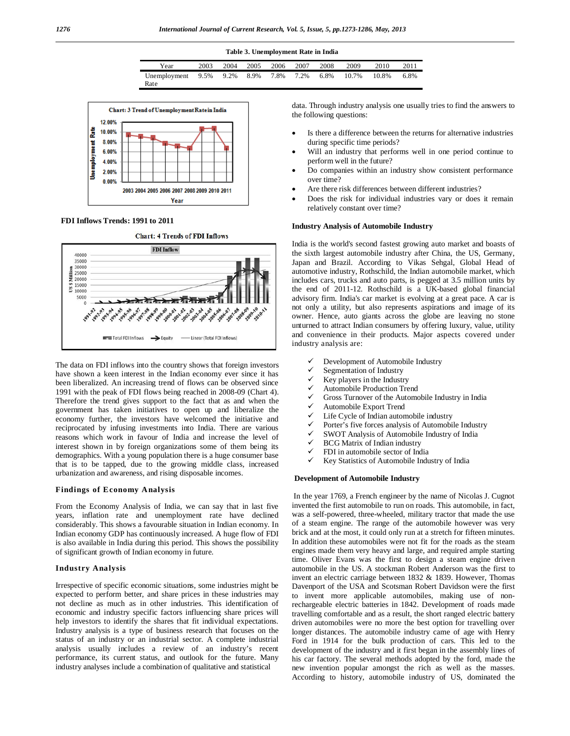| Table 3. Unemployment Rate in India |      |      |      |      |      |      |       |       |      |
|-------------------------------------|------|------|------|------|------|------|-------|-------|------|
| Year                                | 2003 | 2004 | 2005 | 2006 | 2007 | 2008 | 2009  | 2010  | 2011 |
| Unemployment 9.5%                   |      | 9.2% | 8.9% | 7.8% | 7.2% | 6.8% | 10.7% | 10.8% | 6.8% |
| Rate                                |      |      |      |      |      |      |       |       |      |



#### **FDI Inflows Trends: 1991 to 2011**



The data on FDI inflows into the country shows that foreign investors have shown a keen interest in the Indian economy ever since it has been liberalized. An increasing trend of flows can be observed since 1991 with the peak of FDI flows being reached in 2008-09 (Chart 4). Therefore the trend gives support to the fact that as and when the government has taken initiatives to open up and liberalize the economy further, the investors have welcomed the initiative and reciprocated by infusing investments into India. There are various reasons which work in favour of India and increase the level of interest shown in by foreign organizations some of them being its demographics. With a young population there is a huge consumer base that is to be tapped, due to the growing middle class, increased urbanization and awareness, and rising disposable incomes.

## **Findings of Economy Analysis**

From the Economy Analysis of India, we can say that in last five years, inflation rate and unemployment rate have declined considerably. This shows a favourable situation in Indian economy. In Indian economy GDP has continuously increased. A huge flow of FDI is also available in India during this period. This shows the possibility of significant growth of Indian economy in future.

### **Industry Analysis**

Irrespective of specific economic situations, some industries might be expected to perform better, and share prices in these industries may not decline as much as in other industries. This identification of economic and industry specific factors influencing share prices will help investors to identify the shares that fit individual expectations. Industry analysis is a type of business research that focuses on the status of an industry or an industrial sector. A complete industrial analysis usually includes a review of an industry's recent performance, its current status, and outlook for the future. Many industry analyses include a combination of qualitative and statistical

data. Through industry analysis one usually tries to find the answers to the following questions:

- Is there a difference between the returns for alternative industries during specific time periods?
- Will an industry that performs well in one period continue to perform well in the future?
- Do companies within an industry show consistent performance over time?
- Are there risk differences between different industries?
- Does the risk for individual industries vary or does it remain relatively constant over time?

# **Industry Analysis of Automobile Industry**

India is the world's second fastest growing auto market and boasts of the sixth largest automobile industry after China, the US, Germany, Japan and Brazil. According to Vikas Sehgal, Global Head of automotive industry, Rothschild, the Indian automobile market, which includes cars, trucks and auto parts, is pegged at 3.5 million units by the end of 2011-12. Rothschild is a UK-based global financial advisory firm. India's car market is evolving at a great pace. A car is not only a utility, but also represents aspirations and image of its owner. Hence, auto giants across the globe are leaving no stone unturned to attract Indian consumers by offering luxury, value, utility and convenience in their products. Major aspects covered under industry analysis are:

- Development of Automobile Industry
- $\checkmark$  Segmentation of Industry
- Key players in the Industry
- $\checkmark$  Automobile Production Trend<br> $\checkmark$  Gross Turnover of the Automo
- Gross Turnover of the Automobile Industry in India
- $\checkmark$  Automobile Export Trend
- Life Cycle of Indian automobile industry
- Porter's five forces analysis of Automobile Industry
- SWOT Analysis of Automobile Industry of India
- BCG Matrix of Indian industry
- FDI in automobile sector of India
- $\checkmark$  Key Statistics of Automobile Industry of India

#### **Development of Automobile Industry**

In the year 1769, a French engineer by the name of Nicolas J. Cugnot invented the first automobile to run on roads. This automobile, in fact, was a self-powered, three-wheeled, military tractor that made the use of a steam engine. The range of the automobile however was very brick and at the most, it could only run at a stretch for fifteen minutes. In addition these automobiles were not fit for the roads as the steam engines made them very heavy and large, and required ample starting time. Oliver Evans was the first to design a steam engine driven automobile in the US. A stockman Robert Anderson was the first to invent an electric carriage between 1832 & 1839. However, Thomas Davenport of the USA and Scotsman Robert Davidson were the first to invent more applicable automobiles, making use of nonrechargeable electric batteries in 1842. Development of roads made travelling comfortable and as a result, the short ranged electric battery driven automobiles were no more the best option for travelling over longer distances. The automobile industry came of age with Henry Ford in 1914 for the bulk production of cars. This led to the development of the industry and it first began in the assembly lines of his car factory. The several methods adopted by the ford, made the new invention popular amongst the rich as well as the masses. According to history, automobile industry of US, dominated the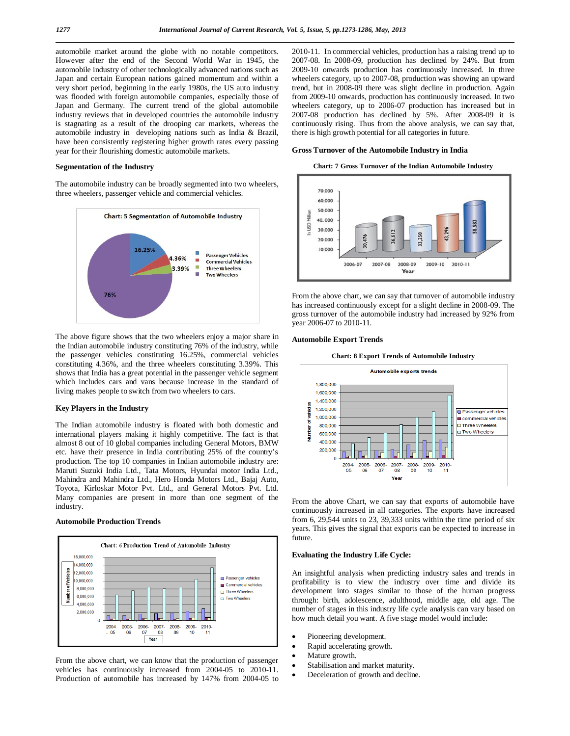automobile market around the globe with no notable competitors. However after the end of the Second World War in 1945, the automobile industry of other technologically advanced nations such as Japan and certain European nations gained momentum and within a very short period, beginning in the early 1980s, the US auto industry was flooded with foreign automobile companies, especially those of Japan and Germany. The current trend of the global automobile industry reviews that in developed countries the automobile industry is stagnating as a result of the drooping car markets, whereas the automobile industry in developing nations such as India & Brazil, have been consistently registering higher growth rates every passing year for their flourishing domestic automobile markets.

# **Segmentation of the Industry**

The automobile industry can be broadly segmented into two wheelers, three wheelers, passenger vehicle and commercial vehicles.



The above figure shows that the two wheelers enjoy a major share in the Indian automobile industry constituting 76% of the industry, while the passenger vehicles constituting 16.25%, commercial vehicles constituting 4.36%, and the three wheelers constituting 3.39%. This shows that India has a great potential in the passenger vehicle segment which includes cars and vans because increase in the standard of living makes people to switch from two wheelers to cars.

# **Key Players in the Industry**

The Indian automobile industry is floated with both domestic and international players making it highly competitive. The fact is that almost 8 out of 10 global companies including General Motors, BMW etc. have their presence in India contributing 25% of the country's production. The top 10 companies in Indian automobile industry are: Maruti Suzuki India Ltd., Tata Motors, Hyundai motor India Ltd., Mahindra and Mahindra Ltd., Hero Honda Motors Ltd., Bajaj Auto, Toyota, Kirloskar Motor Pvt. Ltd., and General Motors Pvt. Ltd. Many companies are present in more than one segment of the industry.

# **Automobile Production Trends**



From the above chart, we can know that the production of passenger vehicles has continuously increased from 2004-05 to 2010-11. Production of automobile has increased by 147% from 2004-05 to

2010-11. In commercial vehicles, production has a raising trend up to 2007-08. In 2008-09, production has declined by 24%. But from 2009-10 onwards production has continuously increased. In three wheelers category, up to 2007-08, production was showing an upward trend, but in 2008-09 there was slight decline in production. Again from 2009-10 onwards, production has continuously increased. In two wheelers category, up to 2006-07 production has increased but in 2007-08 production has declined by 5%. After 2008-09 it is continuously rising. Thus from the above analysis, we can say that, there is high growth potential for all categories in future.

#### **Gross Turnover of the Automobile Industry in India**

**Chart: 7 Gross Turnover of the Indian Automobile Industry**



From the above chart, we can say that turnover of automobile industry has increased continuously except for a slight decline in 2008-09. The gross turnover of the automobile industry had increased by 92% from year 2006-07 to 2010-11.

#### **Automobile Export Trends**





From the above Chart, we can say that exports of automobile have continuously increased in all categories. The exports have increased from 6, 29,544 units to 23, 39,333 units within the time period of six years. This gives the signal that exports can be expected to increase in future.

# **Evaluating the Industry Life Cycle:**

An insightful analysis when predicting industry sales and trends in profitability is to view the industry over time and divide its development into stages similar to those of the human progress through: birth, adolescence, adulthood, middle age, old age. The number of stages in this industry life cycle analysis can vary based on how much detail you want. A five stage model would include:

- Pioneering development.
- Rapid accelerating growth.
- Mature growth.
- Stabilisation and market maturity.
- Deceleration of growth and decline.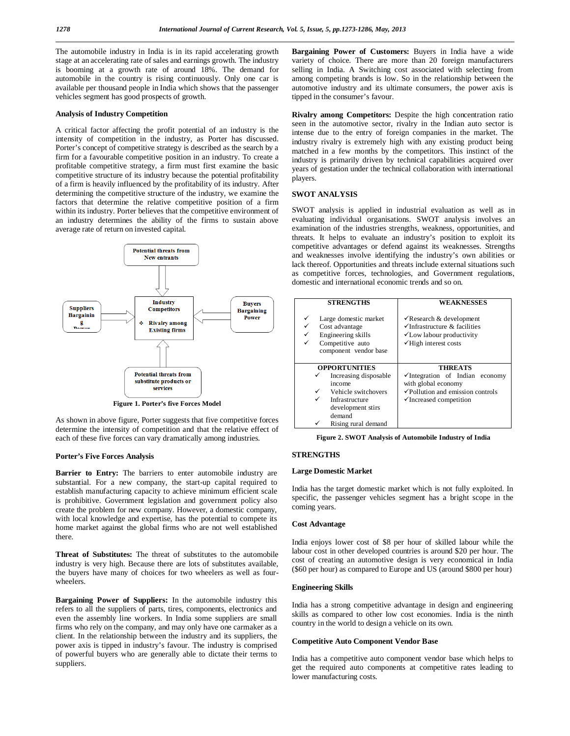The automobile industry in India is in its rapid accelerating growth stage at an accelerating rate of sales and earnings growth. The industry is booming at a growth rate of around 18%. The demand for automobile in the country is rising continuously. Only one car is available per thousand people in India which shows that the passenger vehicles segment has good prospects of growth.

## **Analysis of Industry Competition**

A critical factor affecting the profit potential of an industry is the intensity of competition in the industry, as Porter has discussed. Porter's concept of competitive strategy is described as the search by a firm for a favourable competitive position in an industry. To create a profitable competitive strategy, a firm must first examine the basic competitive structure of its industry because the potential profitability of a firm is heavily influenced by the profitability of its industry. After determining the competitive structure of the industry, we examine the factors that determine the relative competitive position of a firm within its industry. Porter believes that the competitive environment of an industry determines the ability of the firms to sustain above average rate of return on invested capital.



**Figure 1. Porter's five Forces Model**

As shown in above figure, Porter suggests that five competitive forces determine the intensity of competition and that the relative effect of each of these five forces can vary dramatically among industries.

# **Porter's Five Forces Analysis**

**Barrier to Entry:** The barriers to enter automobile industry are substantial. For a new company, the start-up capital required to establish manufacturing capacity to achieve minimum efficient scale is prohibitive. Government legislation and government policy also create the problem for new company. However, a domestic company, with local knowledge and expertise, has the potential to compete its home market against the global firms who are not well established there.

**Threat of Substitutes:** The threat of substitutes to the automobile industry is very high. Because there are lots of substitutes available, the buyers have many of choices for two wheelers as well as fourwheelers.

**Bargaining Power of Suppliers:** In the automobile industry this refers to all the suppliers of parts, tires, components, electronics and even the assembly line workers. In India some suppliers are small firms who rely on the company, and may only have one carmaker as a client. In the relationship between the industry and its suppliers, the power axis is tipped in industry's favour. The industry is comprised of powerful buyers who are generally able to dictate their terms to suppliers.

**Bargaining Power of Customers:** Buyers in India have a wide variety of choice. There are more than 20 foreign manufacturers selling in India. A Switching cost associated with selecting from among competing brands is low. So in the relationship between the automotive industry and its ultimate consumers, the power axis is tipped in the consumer's favour.

**Rivalry among Competitors:** Despite the high concentration ratio seen in the automotive sector, rivalry in the Indian auto sector is intense due to the entry of foreign companies in the market. The industry rivalry is extremely high with any existing product being matched in a few months by the competitors. This instinct of the industry is primarily driven by technical capabilities acquired over years of gestation under the technical collaboration with international players.

# **SWOT ANALYSIS**

SWOT analysis is applied in industrial evaluation as well as in evaluating individual organisations. SWOT analysis involves an examination of the industries strengths, weakness, opportunities, and threats. It helps to evaluate an industry's position to exploit its competitive advantages or defend against its weaknesses. Strengths and weaknesses involve identifying the industry's own abilities or lack thereof. Opportunities and threats include external situations such as competitive forces, technologies, and Government regulations, domestic and international economic trends and so on.

| <b>STRENGTHS</b>                                                                                                | <b>WEAKNESSES</b>                                                                                                                                           |
|-----------------------------------------------------------------------------------------------------------------|-------------------------------------------------------------------------------------------------------------------------------------------------------------|
| Large domestic market<br>✓<br>Cost advantage<br>Engineering skills<br>Competitive auto<br>component vendor base | $\checkmark$ Research & development<br>$\checkmark$ Infrastructure & facilities<br>$\checkmark$ Low labour productivity<br>$\checkmark$ High interest costs |
| <b>OPPORTUNITIES</b>                                                                                            | <b>THREATS</b>                                                                                                                                              |
| Increasing disposable                                                                                           | $\checkmark$ Integration of Indian economy                                                                                                                  |
| income                                                                                                          | with global economy                                                                                                                                         |
| Vehicle switchovers<br>✓                                                                                        | √Pollution and emission controls                                                                                                                            |
| ✓<br>Infrastructure                                                                                             | $\checkmark$ Increased competition                                                                                                                          |
| development stirs                                                                                               |                                                                                                                                                             |
| demand                                                                                                          |                                                                                                                                                             |
| Rising rural demand                                                                                             |                                                                                                                                                             |

**Figure 2. SWOT Analysis of Automobile Industry of India**

# **STRENGTHS**

# **Large Domestic Market**

India has the target domestic market which is not fully exploited. In specific, the passenger vehicles segment has a bright scope in the coming years.

## **Cost Advantage**

India enjoys lower cost of \$8 per hour of skilled labour while the labour cost in other developed countries is around \$20 per hour. The cost of creating an automotive design is very economical in India (\$60 per hour) as compared to Europe and US (around \$800 per hour)

# **Engineering Skills**

India has a strong competitive advantage in design and engineering skills as compared to other low cost economies. India is the ninth country in the world to design a vehicle on its own.

#### **Competitive Auto Component Vendor Base**

India has a competitive auto component vendor base which helps to get the required auto components at competitive rates leading to lower manufacturing costs.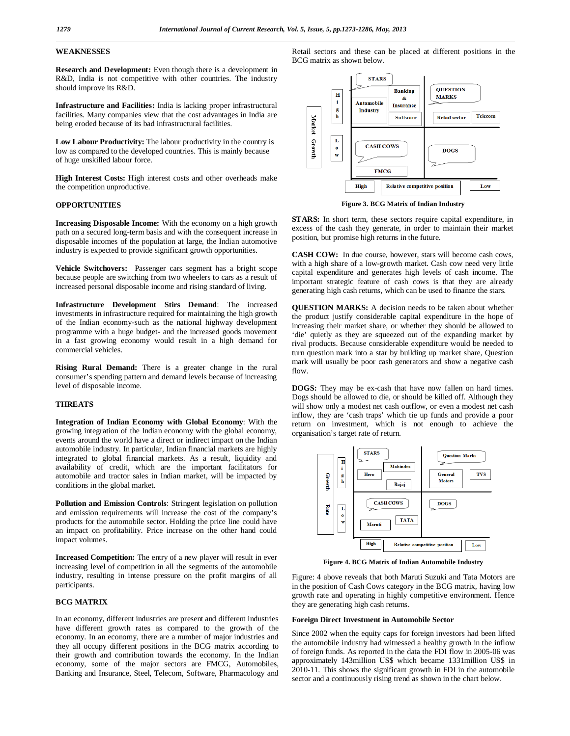# **WEAKNESSES**

**Research and Development:** Even though there is a development in R&D, India is not competitive with other countries. The industry should improve its R&D.

**Infrastructure and Facilities:** India is lacking proper infrastructural facilities. Many companies view that the cost advantages in India are being eroded because of its bad infrastructural facilities.

**Low Labour Productivity:** The labour productivity in the country is low as compared to the developed countries. This is mainly because of huge unskilled labour force.

**High Interest Costs:** High interest costs and other overheads make the competition unproductive.

# **OPPORTUNITIES**

**Increasing Disposable Income:** With the economy on a high growth path on a secured long-term basis and with the consequent increase in disposable incomes of the population at large, the Indian automotive industry is expected to provide significant growth opportunities.

**Vehicle Switchovers:** Passenger cars segment has a bright scope because people are switching from two wheelers to cars as a result of increased personal disposable income and rising standard of living.

**Infrastructure Development Stirs Demand**: The increased investments in infrastructure required for maintaining the high growth of the Indian economy-such as the national highway development programme with a huge budget- and the increased goods movement in a fast growing economy would result in a high demand for commercial vehicles.

**Rising Rural Demand:** There is a greater change in the rural consumer's spending pattern and demand levels because of increasing level of disposable income.

# **THREATS**

**Integration of Indian Economy with Global Economy**: With the growing integration of the Indian economy with the global economy, events around the world have a direct or indirect impact on the Indian automobile industry. In particular, Indian financial markets are highly integrated to global financial markets. As a result, liquidity and availability of credit, which are the important facilitators for automobile and tractor sales in Indian market, will be impacted by conditions in the global market.

**Pollution and Emission Controls**: Stringent legislation on pollution and emission requirements will increase the cost of the company's products for the automobile sector. Holding the price line could have an impact on profitability. Price increase on the other hand could impact volumes.

**Increased Competition:** The entry of a new player will result in ever increasing level of competition in all the segments of the automobile industry, resulting in intense pressure on the profit margins of all participants.

# **BCG MATRIX**

In an economy, different industries are present and different industries have different growth rates as compared to the growth of the economy. In an economy, there are a number of major industries and they all occupy different positions in the BCG matrix according to their growth and contribution towards the economy. In the Indian economy, some of the major sectors are FMCG, Automobiles, Banking and Insurance, Steel, Telecom, Software, Pharmacology and

Retail sectors and these can be placed at different positions in the BCG matrix as shown below.



**Figure 3. BCG Matrix of Indian Industry**

**STARS:** In short term, these sectors require capital expenditure, in excess of the cash they generate, in order to maintain their market position, but promise high returns in the future.

**CASH COW:** In due course, however, stars will become cash cows, with a high share of a low-growth market. Cash cow need very little capital expenditure and generates high levels of cash income. The important strategic feature of cash cows is that they are already generating high cash returns, which can be used to finance the stars.

**QUESTION MARKS:** A decision needs to be taken about whether the product justify considerable capital expenditure in the hope of increasing their market share, or whether they should be allowed to 'die' quietly as they are squeezed out of the expanding market by rival products. Because considerable expenditure would be needed to turn question mark into a star by building up market share, Question mark will usually be poor cash generators and show a negative cash flow.

**DOGS:** They may be ex-cash that have now fallen on hard times. Dogs should be allowed to die, or should be killed off. Although they will show only a modest net cash outflow, or even a modest net cash inflow, they are 'cash traps' which tie up funds and provide a poor return on investment, which is not enough to achieve the organisation's target rate of return.



**Figure 4. BCG Matrix of Indian Automobile Industry**

Figure: 4 above reveals that both Maruti Suzuki and Tata Motors are in the position of Cash Cows category in the BCG matrix, having low growth rate and operating in highly competitive environment. Hence they are generating high cash returns.

#### **Foreign Direct Investment in Automobile Sector**

Since 2002 when the equity caps for foreign investors had been lifted the automobile industry had witnessed a healthy growth in the inflow of foreign funds. As reported in the data the FDI flow in 2005-06 was approximately 143million US\$ which became 1331million US\$ in 2010-11. This shows the significant growth in FDI in the automobile sector and a continuously rising trend as shown in the chart below.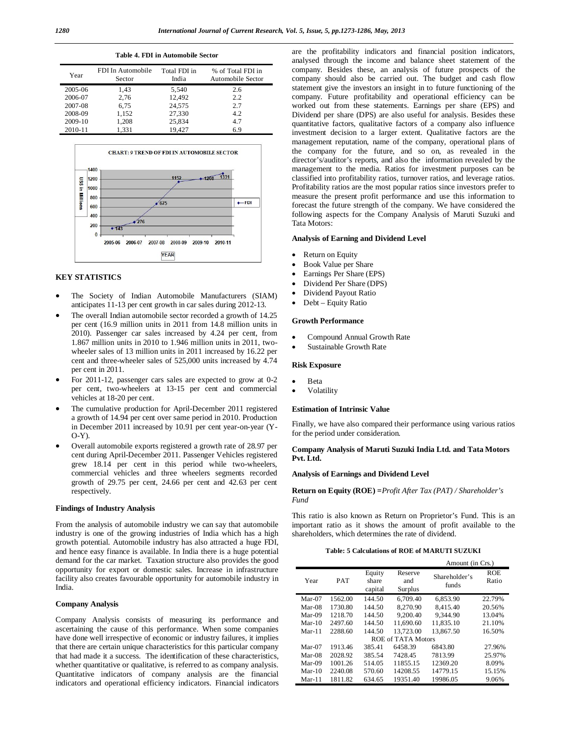#### **Table 4. FDI in Automobile Sector**

| Year    | FDI In Automobile<br>Sector | Total FDI in<br>India | % of Total FDI in<br>Automobile Sector |
|---------|-----------------------------|-----------------------|----------------------------------------|
| 2005-06 | 1,43                        | 5,540                 | 2.6                                    |
| 2006-07 | 2,76                        | 12,492                | 2.2                                    |
| 2007-08 | 6,75                        | 24.575                | 2.7                                    |
| 2008-09 | 1,152                       | 27,330                | 4.2                                    |
| 2009-10 | 1,208                       | 25,834                | 4.7                                    |
| 2010-11 | 1.331                       | 19.427                | 6.9                                    |



# **KEY STATISTICS**

- The Society of Indian Automobile Manufacturers (SIAM) anticipates 11-13 per cent growth in car sales during 2012-13.
- The overall Indian automobile sector recorded a growth of 14.25 per cent (16.9 million units in 2011 from 14.8 million units in 2010). Passenger car sales increased by 4.24 per cent, from 1.867 million units in 2010 to 1.946 million units in 2011, twowheeler sales of 13 million units in 2011 increased by 16.22 per cent and three-wheeler sales of 525,000 units increased by 4.74 per cent in 2011.
- For 2011-12, passenger cars sales are expected to grow at 0-2 per cent, two-wheelers at 13-15 per cent and commercial vehicles at 18-20 per cent.
- The cumulative production for April-December 2011 registered a growth of 14.94 per cent over same period in 2010. Production in December 2011 increased by 10.91 per cent year-on-year (Y-O-Y).
- Overall automobile exports registered a growth rate of 28.97 per cent during April-December 2011. Passenger Vehicles registered grew 18.14 per cent in this period while two-wheelers, commercial vehicles and three wheelers segments recorded growth of 29.75 per cent, 24.66 per cent and 42.63 per cent respectively.

# **Findings of Industry Analysis**

From the analysis of automobile industry we can say that automobile industry is one of the growing industries of India which has a high growth potential. Automobile industry has also attracted a huge FDI, and hence easy finance is available. In India there is a huge potential demand for the car market. Taxation structure also provides the good opportunity for export or domestic sales. Increase in infrastructure facility also creates favourable opportunity for automobile industry in India.

# **Company Analysis**

Company Analysis consists of measuring its performance and ascertaining the cause of this performance. When some companies have done well irrespective of economic or industry failures, it implies that there are certain unique characteristics for this particular company that had made it a success. The identification of these characteristics, whether quantitative or qualitative, is referred to as company analysis. Quantitative indicators of company analysis are the financial indicators and operational efficiency indicators. Financial indicators are the profitability indicators and financial position indicators, analysed through the income and balance sheet statement of the company. Besides these, an analysis of future prospects of the company should also be carried out. The budget and cash flow statement give the investors an insight in to future functioning of the company. Future profitability and operational efficiency can be worked out from these statements. Earnings per share (EPS) and Dividend per share (DPS) are also useful for analysis. Besides these quantitative factors, qualitative factors of a company also influence investment decision to a larger extent. Qualitative factors are the management reputation, name of the company, operational plans of the company for the future, and so on, as revealed in the director's/auditor's reports, and also the information revealed by the management to the media. Ratios for investment purposes can be classified into profitability ratios, turnover ratios, and leverage ratios. Profitability ratios are the most popular ratios since investors prefer to measure the present profit performance and use this information to forecast the future strength of the company. We have considered the following aspects for the Company Analysis of Maruti Suzuki and Tata Motors:

# **Analysis of Earning and Dividend Level**

- Return on Equity
- Book Value per Share
- Earnings Per Share (EPS)
- Dividend Per Share (DPS)
- Dividend Payout Ratio
- Debt Equity Ratio

# **Growth Performance**

- Compound Annual Growth Rate
- Sustainable Growth Rate

#### **Risk Exposure**

- Beta
- Volatility

#### **Estimation of Intrinsic Value**

Finally, we have also compared their performance using various ratios for the period under consideration.

# **Company Analysis of Maruti Suzuki India Ltd. and Tata Motors Pvt. Ltd.**

# **Analysis of Earnings and Dividend Level**

**Return on Equity (ROE) =***Profit After Tax (PAT) / Shareholder's Fund*

This ratio is also known as Return on Proprietor's Fund. This is an important ratio as it shows the amount of profit available to the shareholders, which determines the rate of dividend.

# **Table: 5 Calculations of ROE of MARUTI SUZUKI**

|          |            |                            |                                                     | Amount (in Crs.) |                     |  |  |
|----------|------------|----------------------------|-----------------------------------------------------|------------------|---------------------|--|--|
| Year     | <b>PAT</b> | Equity<br>share<br>capital | Reserve<br>Shareholder's<br>and<br>funds<br>Surplus |                  | <b>ROE</b><br>Ratio |  |  |
| $Mar-07$ | 1562.00    | 144.50                     | 6.709.40                                            | 6.853.90         | 22.79%              |  |  |
| $Mar-08$ | 1730.80    | 144.50                     | 8.270.90                                            | 8.415.40         | 20.56%              |  |  |
| $Mar-09$ | 1218.70    | 144.50                     | 9.200.40                                            | 9.344.90         | 13.04%              |  |  |
| $Mar-10$ | 2497.60    | 144.50                     | 11,690.60                                           | 11.835.10        | 21.10%              |  |  |
| $Mar-11$ | 2288.60    | 144.50                     | 13.723.00                                           | 13.867.50        | 16.50%              |  |  |
|          |            |                            | ROE of TATA Motors                                  |                  |                     |  |  |
| $Mar-07$ | 1913.46    | 385.41                     | 6458.39                                             | 6843.80          | 27.96%              |  |  |
| $Mar-08$ | 2028.92    | 385.54                     | 7428.45                                             | 7813.99          | 25.97%              |  |  |
| $Mar-09$ | 1001.26    | 514.05                     | 11855.15                                            | 12369.20         | 8.09%               |  |  |
| $Mar-10$ | 2240.08    | 570.60                     | 14208.55                                            | 14779.15         | 15.15%              |  |  |
| $Mar-11$ | 1811.82    | 634.65                     | 19351.40                                            | 19986.05         | 9.06%               |  |  |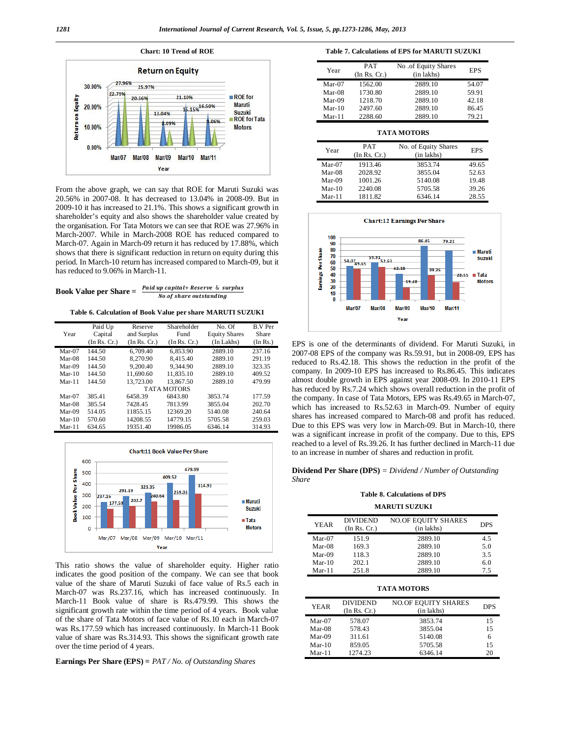

From the above graph, we can say that ROE for Maruti Suzuki was 20.56% in 2007-08. It has decreased to 13.04% in 2008-09. But in 2009-10 it has increased to 21.1%. This shows a significant growth in shareholder's equity and also shows the shareholder value created by the organisation. For Tata Motors we can see that ROE was 27.96% in March-2007. While in March-2008 ROE has reduced compared to March-07. Again in March-09 return it has reduced by 17.88%, which shows that there is significant reduction in return on equity during this period. In March-10 return has increased compared to March-09, but it has reduced to 9.06% in March-11.

Book Value per Share =  $\frac{Paul\;up}{\cdot}$  is a surplus Book Value per Share =  $\frac{Paul\;up}{\cdot}$ No.of share outstanding

**Table 6. Calculation of Book Value per share MARUTI SUZUKI**

|          | Paid Up      | Reserve      | Shareholder        | No. Of               | <b>B.V Per</b> |
|----------|--------------|--------------|--------------------|----------------------|----------------|
| Year     | Capital      | and Surplus  | Fund               | <b>Equity Shares</b> | Share          |
|          | (In Rs. Cr.) | (In Rs. Cr.) | (In Rs. Cr.)       | (In Lakhs)           | (In Rs.)       |
| $Mar-07$ | 144.50       | 6.709.40     | 6.853.90           | 2889.10              | 237.16         |
| $Mar-08$ | 144.50       | 8,270.90     | 8.415.40           | 2889.10              | 291.19         |
| $Mar-09$ | 144.50       | 9.200.40     | 9.344.90           | 2889.10              | 323.35         |
| $Mar-10$ | 144.50       | 11,690.60    | 11.835.10          | 2889.10              | 409.52         |
| $Mar-11$ | 144.50       | 13,723.00    | 13,867.50          | 2889.10              | 479.99         |
|          |              |              | <b>TATA MOTORS</b> |                      |                |
| $Mar-07$ | 385.41       | 6458.39      | 6843.80            | 3853.74              | 177.59         |
| $Mar-08$ | 385.54       | 7428.45      | 7813.99            | 3855.04              | 202.70         |
| $Mar-09$ | 514.05       | 11855.15     | 12369.20           | 5140.08              | 240.64         |
| $Mar-10$ | 570.60       | 14208.55     | 14779.15           | 5705.58              | 259.03         |
| $Mar-11$ | 634.65       | 19351.40     | 19986.05           | 6346.14              | 314.93         |



This ratio shows the value of shareholder equity. Higher ratio indicates the good position of the company. We can see that book value of the share of Maruti Suzuki of face value of Rs.5 each in March-07 was Rs.237.16, which has increased continuously. In March-11 Book value of share is Rs.479.99. This shows the significant growth rate within the time period of 4 years. Book value of the share of Tata Motors of face value of Rs.10 each in March-07 was Rs.177.59 which has increased continuously. In March-11 Book value of share was Rs.314.93. This shows the significant growth rate over the time period of 4 years.

**Earnings Per Share (EPS) =** *PAT / No. of Outstanding Shares* 

**Table 7. Calculations of EPS for MARUTI SUZUKI**

| Year     | <b>PAT</b><br>(In Rs. Cr.) | No .of Equity Shares<br>(in lakhs) | <b>EPS</b> |
|----------|----------------------------|------------------------------------|------------|
| $Mar-07$ | 1562.00                    | 2889.10                            | 54.07      |
| $Mar-08$ | 1730.80                    | 2889.10                            | 59.91      |
| $Mar-09$ | 1218.70                    | 2889.10                            | 42.18      |
| $Mar-10$ | 2497.60                    | 2889.10                            | 86.45      |
| $Mar-11$ | 2288.60                    | 2889.10                            | 79.21      |

# **TATA MOTORS**

| Year     | <b>PAT</b><br>(In Rs. Cr.) | No. of Equity Shares<br>(in lakhs) | <b>EPS</b> |
|----------|----------------------------|------------------------------------|------------|
| $Mar-07$ | 1913.46                    | 3853.74                            | 49.65      |
| $Mar-08$ | 2028.92                    | 3855.04                            | 52.63      |
| $Mar-09$ | 1001.26                    | 5140.08                            | 19.48      |
| $Mar-10$ | 2240.08                    | 5705.58                            | 39.26      |
| $Mar-11$ | 1811.82                    | 6346.14                            | 28.55      |



EPS is one of the determinants of dividend. For Maruti Suzuki, in 2007-08 EPS of the company was Rs.59.91, but in 2008-09, EPS has reduced to Rs.42.18. This shows the reduction in the profit of the company. In 2009-10 EPS has increased to Rs.86.45. This indicates almost double growth in EPS against year 2008-09. In 2010-11 EPS has reduced by Rs.7.24 which shows overall reduction in the profit of the company. In case of Tata Motors, EPS was Rs.49.65 in March-07, which has increased to Rs.52.63 in March-09. Number of equity shares has increased compared to March-08 and profit has reduced. Due to this EPS was very low in March-09. But in March-10, there was a significant increase in profit of the company. Due to this, EPS reached to a level of Rs.39.26. It has further declined in March-11 due to an increase in number of shares and reduction in profit.

**Dividend Per Share (DPS)** *= Dividend / Number of Outstanding Share*

# **Table 8. Calculations of DPS MARUTI SUZUKI**

| <b>YEAR</b> | <b>DIVIDEND</b><br>(In Rs. Cr.) | <b>NO.OF EQUITY SHARES</b><br>(in lakhs) | <b>DPS</b> |
|-------------|---------------------------------|------------------------------------------|------------|
| $Mar-07$    | 151.9                           | 2889.10                                  | 4.5        |
| $Mar-08$    | 169.3                           | 2889.10                                  | 5.0        |
| $Mar-09$    | 118.3                           | 2889.10                                  | 3.5        |
| $Mar-10$    | 202.1                           | 2889.10                                  | 6.0        |
| $Mar-11$    | 251.8                           | 2889.10                                  | 75         |

#### **TATA MOTORS**

| <b>YEAR</b> | <b>DIVIDEND</b><br>(In Rs. Cr.) | <b>NO.OF EQUITY SHARES</b><br>(in lakhs) | <b>DPS</b> |
|-------------|---------------------------------|------------------------------------------|------------|
| $Mar-07$    | 578.07                          | 3853.74                                  | 15         |
| $Mar-08$    | 578.43                          | 3855.04                                  | 15         |
| Mar-09      | 311.61                          | 5140.08                                  | 6          |
| $Mar-10$    | 859.05                          | 5705.58                                  | 15         |
| $Mar-11$    | 1274.23                         | 6346.14                                  | 20         |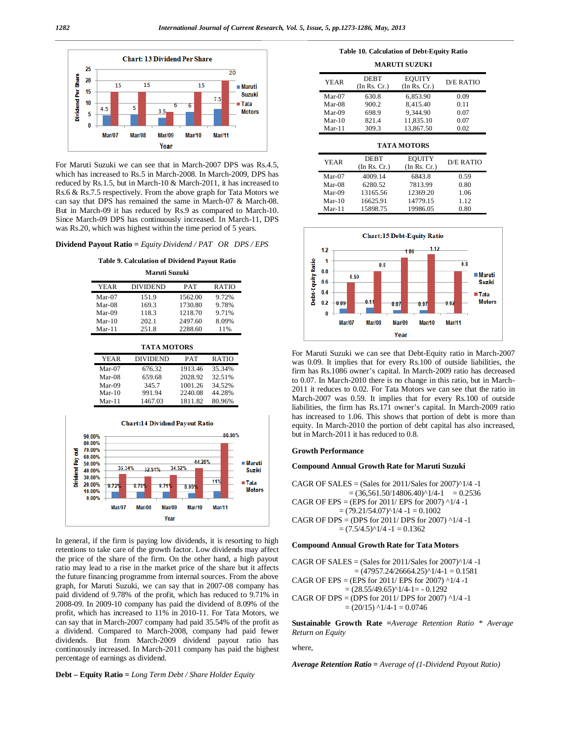

For Maruti Suzuki we can see that in March-2007 DPS was Rs.4.5, which has increased to Rs.5 in March-2008. In March-2009, DPS has reduced by Rs.1.5, but in March-10 & March-2011, it has increased to Rs.6 & Rs.7.5 respectively. From the above graph for Tata Motors we can say that DPS has remained the same in March-07 & March-08. But in March-09 it has reduced by Rs.9 as compared to March-10. Since March-09 DPS has continuously increased. In March-11, DPS was Rs.20, which was highest within the time period of 5 years.

**Dividend Payout Ratio =** *Equity Dividend / PAT OR DPS / EPS*

**Table 9. Calculation of Dividend Payout Ratio**

**Maruti Suzuki**

| YEAR     | <b>DIVIDEND</b> | PAT     | <b>RATIO</b> |
|----------|-----------------|---------|--------------|
| $Mar-07$ | 151.9           | 1562.00 | 9.72%        |
| $Mar-08$ | 169.3           | 1730.80 | 9.78%        |
| $Mar-09$ | 118.3           | 1218.70 | 9.71%        |
| $Mar-10$ | 202.1           | 2497.60 | 8.09%        |
| $Mar-11$ | 251.8           | 2288.60 | 11%          |

**TATA MOTORS**

| YEAR     | DIVIDEND | PAT     | <b>RATIO</b> |
|----------|----------|---------|--------------|
| $Mar-07$ | 676.32   | 1913.46 | 35.34%       |
| $Mar-08$ | 659.68   | 2028.92 | 32.51%       |
| $Mar-09$ | 345.7    | 1001.26 | 34.52%       |
| $Mar-10$ | 991.94   | 2240.08 | 44.28%       |
| Mar-11   | 1467.03  | 1811.82 | 80.96%       |



In general, if the firm is paying low dividends, it is resorting to high retentions to take care of the growth factor. Low dividends may affect the price of the share of the firm. On the other hand, a high payout ratio may lead to a rise in the market price of the share but it affects the future financing programme from internal sources. From the above graph, for Maruti Suzuki, we can say that in 2007-08 company has paid dividend of 9.78% of the profit, which has reduced to 9.71% in 2008-09. In 2009-10 company has paid the dividend of 8.09% of the profit, which has increased to 11% in 2010-11. For Tata Motors, we can say that in March-2007 company had paid 35.54% of the profit as a dividend. Compared to March-2008, company had paid fewer dividends. But from March-2009 dividend payout ratio has continuously increased. In March-2011 company has paid the highest percentage of earnings as dividend.

**Debt – Equity Ratio =** *Long Term Debt / Share Holder Equity* 

**Table 10. Calculation of Debt-Equity Ratio**

| <b>YEAR</b> | DEBT<br>(In Rs. Cr.) | <b>EOUITY</b><br>(In Rs. Cr.) | <b>D/E RATIO</b> |
|-------------|----------------------|-------------------------------|------------------|
| $Mar-07$    | 630.8                | 6.853.90                      | 0.09             |
| $Mar-08$    | 900.2                | 8.415.40                      | 0.11             |
| Mar-09      | 698.9                | 9.344.90                      | 0.07             |
| $Mar-10$    | 821.4                | 11.835.10                     | 0.07             |
| $Mar-11$    | 309.3                | 13.867.50                     | 0.02             |

**TATA MOTORS**

| <b>YEAR</b> | DEBT         | <b>EOUITY</b> | <b>D/E RATIO</b> |
|-------------|--------------|---------------|------------------|
|             | (In Rs. Cr.) | (In Rs. Cr.)  |                  |
| $Mar-07$    | 4009.14      | 6843.8        | 0.59             |
| $Mar-08$    | 6280.52      | 7813.99       | 0.80             |
| $Mar-09$    | 13165.56     | 12369.20      | 1.06             |
| $Mar-10$    | 16625.91     | 14779.15      | 1.12             |
| $Mar-11$    | 15898.75     | 19986.05      | 0.80             |



For Maruti Suzuki we can see that Debt-Equity ratio in March-2007 was 0.09. It implies that for every Rs.100 of outside liabilities, the firm has Rs.1086 owner's capital. In March-2009 ratio has decreased to 0.07. In March-2010 there is no change in this ratio, but in March-2011 it reduces to 0.02. For Tata Motors we can see that the ratio in March-2007 was 0.59. It implies that for every Rs.100 of outside liabilities, the firm has Rs.171 owner's capital. In March-2009 ratio has increased to 1.06. This shows that portion of debt is more than equity. In March-2010 the portion of debt capital has also increased, but in March-2011 it has reduced to 0.8.

# **Growth Performance**

## **Compound Annual Growth Rate for Maruti Suzuki**

CAGR OF SALES = (Sales for  $2011/S$ ales for  $2007$ ) $^1/4$  -1  $=(36,561.50/14806.40)^{2}$  1/4-1  $= 0.2536$ CAGR OF EPS = (EPS for  $2011/$  EPS for  $2007)$  ^1/4 -1  $=(79.21/54.07)^{1/4} -1 = 0.1002$ CAGR OF DPS = (DPS for  $2011/$  DPS for  $2007)$   $^{1/4}$  -1  $= (7.5/4.5)^{1/4} - 1 = 0.1362$ 

# **Compound Annual Growth Rate for Tata Motors**

```
CAGR OF SALES = (Sales for 2011/Sales for 2007)^1/4 -1
      =(47957.24/26664.25)^{1}/4-1 = 0.1581CAGR OF EPS = (EPS for 2011/ EPS for 2007) ^1/4 -1
   =(28.55/49.65)^{1}/4-1= -0.1292CAGR OF DPS = (DPS for 2011/ DPS for 2007) ^1/4 -1
   =(20/15) ^1/4-1 = 0.0746
```
**Sustainable Growth Rate =***Average Retention Ratio \* Average Return on Equity*

where,

*Average Retention Ratio = Average of (1-Dividend Payout Ratio)*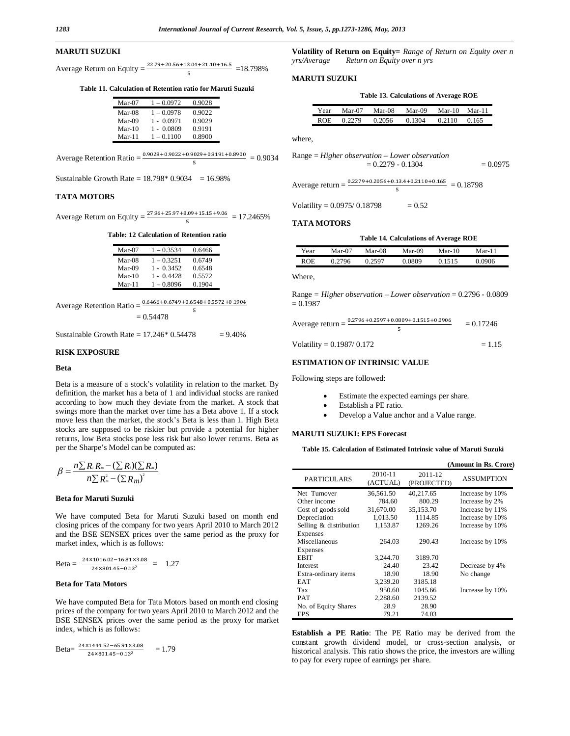# **MARUTI SUZUKI**

Average Return on Equity =  $\frac{22.79 + 20.56 + 13.04 + 21.10 + 16.5}{5}$  = 18.798% ହ

**Table 11. Calculation of Retention ratio for Maruti Suzuki**

| Mar-07   | $1 - 0.0972$ | 0.9028 |
|----------|--------------|--------|
| Mar-08   | $1 - 0.0978$ | 0.9022 |
| Mar-09   | $1 - 0.0971$ | 0.9029 |
| $Mar-10$ | $1 - 0.0809$ | 0.9191 |
| $Mar-11$ | $1 - 0.1100$ | 0.8900 |

Average Retention Ratio =  $\frac{0.9028 + 0.9022 + 0.9029 + 0.9191 + 0.8900}{5}$  $\overline{5}$  $= 0.9034$ 

Sustainable Growth Rate =  $18.798 * 0.9034 = 16.98\%$ 

# **TATA MOTORS**

Average Return on Equity =  $\frac{27.96 + 25.97 + 8.09 + 15.15 + 9.06}{5}$  = 17.2465% ହ

#### **Table: 12 Calculation of Retention ratio**

| $Mar-07$ | $1 - 0.3534$ | 0.6466 |
|----------|--------------|--------|
| Mar-08   | $1 - 0.3251$ | 0.6749 |
| Mar-09   | $1 - 0.3452$ | 0.6548 |
| $Mar-10$ | $1 - 0.4428$ | 0.5572 |
| $Mar-11$ | $1 - 0.8096$ | 0.1904 |

| Average Retention Ratio = $\frac{a}{b}$ | $0.6466 + 0.6749 + 0.6548 + 0.5572 + 0.1904$ |
|-----------------------------------------|----------------------------------------------|
|                                         |                                              |

 $= 0.54478$ 

Sustainable Growth Rate =  $17.246 * 0.54478 = 9.40\%$ 

# **RISK EXPOSURE**

# **Beta**

Beta is a measure of a stock's volatility in relation to the market. By definition, the market has a beta of 1 and individual stocks are ranked according to how much they deviate from the market. A stock that swings more than the market over time has a Beta above 1. If a stock move less than the market, the stock's Beta is less than 1. High Beta stocks are supposed to be riskier but provide a potential for higher returns, low Beta stocks pose less risk but also lower returns. Beta as per the Sharpe's Model can be computed as:

$$
\beta = \frac{n \sum R_i R_m - (\sum R_i)(\sum R_m)}{n \sum R_m^2 - (\sum R_m)^2}
$$

#### **Beta for Maruti Suzuki**

We have computed Beta for Maruti Suzuki based on month end closing prices of the company for two years April 2010 to March 2012 and the BSE SENSEX prices over the same period as the proxy for market index, which is as follows:

Beta = 
$$
\frac{24 \times 1016.02 - 16.81 \times 3.08}{24 \times 801.45 - 0.13^2} = 1.27
$$

# **Beta for Tata Motors**

We have computed Beta for Tata Motors based on month end closing prices of the company for two years April 2010 to March 2012 and the BSE SENSEX prices over the same period as the proxy for market index, which is as follows:

$$
Beta = \frac{24 \times 1444.52 - 65.91 \times 3.08}{24 \times 801.45 - 0.13^2} = 1.79
$$

**Volatility of Return on Equity=** *Range of Return on Equity over n yrs/Average Return on Equity over n yrs*

#### **MARUTI SUZUKI**

|  | Table 13. Calculations of Average ROE |  |  |
|--|---------------------------------------|--|--|
|  |                                       |  |  |

| Year | Mar-07 | Mar-08 | $Mar-09$ | Mar-10 | $Mar-11$ |  |
|------|--------|--------|----------|--------|----------|--|
| ROE. | 0.2279 | 0.2056 | 0.1304   | 0.2110 | 0.165    |  |

where,

Range = *Higher observation – Lower observation* = 0.2279 - 0.1304 = 0.0975

Average return =  $\frac{0.2279 + 0.2056 + 0.13.4 + 0.2110 + 0.165}{5} = 0.18798$ 

Volatility =  $0.0975/0.18798$  =  $0.52$ 

#### **TATA MOTORS**

|  | Table 14. Calculations of Average ROE |  |  |
|--|---------------------------------------|--|--|
|--|---------------------------------------|--|--|

| Year | Mar-07 | $Mar-08$ | Mar-09           | Mar-10 | Mar-11 |
|------|--------|----------|------------------|--------|--------|
| ROE  | 2796   | 2507     | <u>ባ.0809 - </u> |        | 9.0906 |

Where,

Range *= Higher observation – Lower observation* = 0.2796 - 0.0809  $= 0.1987$ 

| Average return $=$ $\frac{8}{3}$ | $0.2796 + 0.2597 + 0.0809 + 0.1515 + 0.0906$ | $= 0.17246$ |
|----------------------------------|----------------------------------------------|-------------|
| Volatility = $0.1987/0.172$      |                                              | $= 1.15$    |

# **ESTIMATION OF INTRINSIC VALUE**

Following steps are followed:

- Estimate the expected earnings per share.
- Establish a PE ratio.
- Develop a Value anchor and a Value range.

# **MARUTI SUZUKI: EPS Forecast**

**Table 15. Calculation of Estimated Intrinsic value of Maruti Suzuki**

|                        |                     |                        | (Amount in Rs. Crore) |
|------------------------|---------------------|------------------------|-----------------------|
| <b>PARTICULARS</b>     | 2010-11<br>(ACTUAL) | 2011-12<br>(PROJECTED) | <b>ASSUMPTION</b>     |
| Net Turnover           | 36.561.50           | 40.217.65              | Increase by 10%       |
| Other income           | 784.60              | 800.29                 | Increase by 2%        |
| Cost of goods sold     | 31,670.00           | 35,153.70              | Increase by 11%       |
| Depreciation           | 1,013.50            | 1114.85                | Increase by 10%       |
| Selling & distribution | 1.153.87            | 1269.26                | Increase by 10%       |
| Expenses               |                     |                        |                       |
| Miscellaneous          | 264.03              | 290.43                 | Increase by 10%       |
| Expenses               |                     |                        |                       |
| <b>EBIT</b>            | 3.244.70            | 3189.70                |                       |
| Interest               | 24.40               | 23.42                  | Decrease by 4%        |
| Extra-ordinary items   | 18.90               | 18.90                  | No change             |
| <b>EAT</b>             | 3.239.20            | 3185.18                |                       |
| Tax                    | 950.60              | 1045.66                | Increase by 10%       |
| PAT                    | 2,288.60            | 2139.52                |                       |
| No. of Equity Shares   | 28.9                | 28.90                  |                       |
| <b>EPS</b>             | 79.21               | 74.03                  |                       |

**Establish a PE Ratio**: The PE Ratio may be derived from the constant growth dividend model, or cross-section analysis, or historical analysis. This ratio shows the price, the investors are willing to pay for every rupee of earnings per share.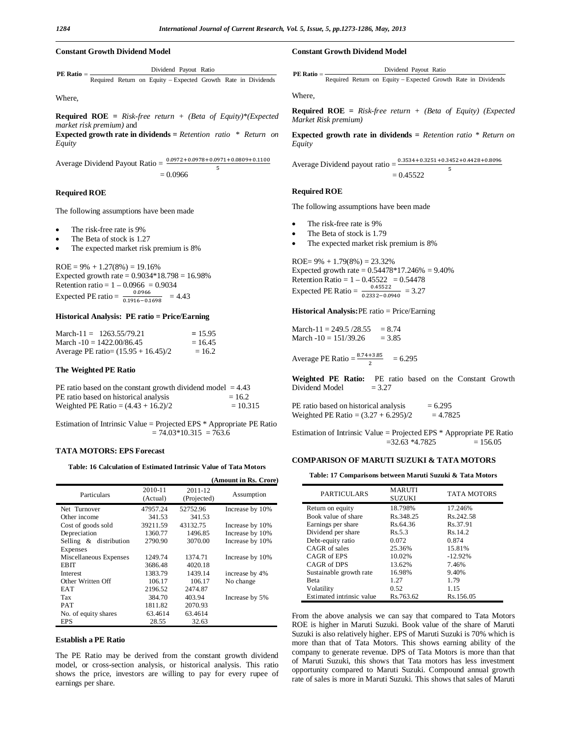# **Constant Growth Dividend Model**

Required Return on Equity - Expected Growth Rate in Dividends Dividend Payout Ratio **PE Ratio**

Where,

**Required ROE =** *Risk-free return + (Beta of Equity)\*(Expected market risk premium)* and

**Expected growth rate in dividends =** *Retention ratio \* Return on Equity*

Average Dividend Payout Ratio =  $\frac{0.0972 + 0.0978 + 0.0971 + 0.0809 + 0.1100}{5}$ ହ  $= 0.0966$ 

## **Required ROE**

The following assumptions have been made

- The risk-free rate is 9%
- The Beta of stock is 1.27
- The expected market risk premium is 8%

 $ROE = 9\% + 1.27(8\%) = 19.16\%$ Expected growth rate = 0.9034\*18.798 = 16.98% Retention ratio =  $1 - 0.0966 = 0.9034$ Expected PE ratio =  $\frac{0.0966}{0.1916 - 0.1}$  $\frac{0.0366}{0.1916 - 0.1698} = 4.43$ 

# **Historical Analysis: PE ratio = Price/Earning**

| March-11 = $1263.55/79.21$            | $= 15.95$ |
|---------------------------------------|-----------|
| March $-10 = 1422.00/86.45$           | $= 16.45$ |
| Average PE ratio= $(15.95 + 16.45)/2$ | $= 16.2$  |

#### **The Weighted PE Ratio**

| PE ratio based on the constant growth dividend model $=4.43$ |            |
|--------------------------------------------------------------|------------|
| PE ratio based on historical analysis                        | $= 16.2$   |
| Weighted PE Ratio = $(4.43 + 16.2)/2$                        | $= 10.315$ |

Estimation of Intrinsic Value = Projected EPS \* Appropriate PE Ratio  $= 74.03*10.315 = 763.6$ 

# **TATA MOTORS: EPS Forecast**

**Table: 16 Calculation of Estimated Intrinsic Value of Tata Motors**

|                        |                     |                        | (Amount in Rs. Crore) |
|------------------------|---------------------|------------------------|-----------------------|
| Particulars            | 2010-11<br>(Actual) | 2011-12<br>(Projected) | Assumption            |
| Net Turnover           | 47957.24            | 52752.96               | Increase by 10%       |
| Other income           | 341.53              | 341.53                 |                       |
| Cost of goods sold     | 39211.59            | 43132.75               | Increase by 10%       |
| Depreciation           | 1360.77             | 1496.85                | Increase by 10%       |
| Selling & distribution | 2790.90             | 3070.00                | Increase by 10%       |
| Expenses               |                     |                        |                       |
| Miscellaneous Expenses | 1249.74             | 1374.71                | Increase by 10%       |
| EB IT                  | 3686.48             | 4020.18                |                       |
| <b>Interest</b>        | 1383.79             | 1439.14                | increase by 4%        |
| Other Written Off      | 106.17              | 106.17                 | No change             |
| EAT                    | 2196.52             | 2474.87                |                       |
| Tax                    | 384.70              | 403.94                 | Increase by 5%        |
| <b>PAT</b>             | 1811.82             | 2070.93                |                       |
| No. of equity shares   | 63.4614             | 63.4614                |                       |
| EPS                    | 28.55               | 32.63                  |                       |

# **Establish a PE Ratio**

The PE Ratio may be derived from the constant growth dividend model, or cross-section analysis, or historical analysis. This ratio shows the price, investors are willing to pay for every rupee of earnings per share.

### **Constant Growth Dividend Model**

Required Return on Equity - Expected Growth Rate in Dividends Dividend Payout Ratio **PE Ratio**

Where,

**Required ROE =** *Risk-free return + (Beta of Equity) (Expected Market Risk premium)*

**Expected growth rate in dividends =** *Retention ratio \* Return on Equity*

Average Dividend payout ratio =  $\frac{0.3534 + 0.3251 + 0.3452 + 0.4428 + 0.8096}{5}$ 

$$
= 0.45522
$$

## **Required ROE**

The following assumptions have been made

- The risk-free rate is 9%
- The Beta of stock is 1.79
- The expected market risk premium is 8%

ROE=  $9\% + 1.79(8\%) = 23.32\%$ Expected growth rate =  $0.54478*17.246% = 9.40%$ Retention Ratio =  $1 - 0.45522 = 0.54478$ Expected PE Ratio =  $\frac{0.45522}{0.3333 \cdot 0.85}$  $\frac{0.43322}{0.2332 - 0.0940} = 3.27$ 

**Historical Analysis:**PE ratio = Price/Earning

March-11 = 249.5  $/28.55 = 8.74$ March  $-10 = 151/39.26 = 3.85$ 

Average PE Ratio =  $\frac{8.74 + 3.85}{2}$  = 6.295

**Weighted PE Ratio:** PE ratio based on the Constant Growth  $=$  3.27 Dividend Model

PE ratio based on historical analysis  $= 6.295$ Weighted PE Ratio =  $(3.27 + 6.295)/2 = 4.7825$ 

Estimation of Intrinsic Value = Projected EPS \* Appropriate PE Ratio  $=32.63 *4.7825 = 156.05$ 

# **COMPARISON OF MARUTI SUZUKI & TATA MOTORS**

**Table: 17 Comparisons between Maruti Suzuki & Tata Motors**

| PARTICULARS               | <b>MARUTI</b><br><b>SUZUKI</b> | <b>TATA MOTORS</b> |
|---------------------------|--------------------------------|--------------------|
| Return on equity          | 18.798%                        | 17.246%            |
| Book value of share       | Rs. 348.25                     | Rs. 242.58         |
| Earnings per share        | Rs.64.36                       | Rs.37.91           |
| Dividend per share        | Rs. 5.3                        | Rs. 14.2           |
| Debt-equity ratio         | 0.072                          | 0.874              |
| CAGR of sales             | 25.36%                         | 15.81%             |
| CAGR of EPS               | 10.02%                         | $-12.92%$          |
| CAGR of DPS               | 13.62%                         | 7.46%              |
| Sustainable growth rate   | 16.98%                         | 9.40%              |
| <b>Beta</b>               | 127                            | 1.79               |
| Volatility                | 0.52                           | 1.15               |
| Estimated intrinsic value | Rs.763.62                      | Rs.156.05          |

From the above analysis we can say that compared to Tata Motors ROE is higher in Maruti Suzuki. Book value of the share of Maruti Suzuki is also relatively higher. EPS of Maruti Suzuki is 70% which is more than that of Tata Motors. This shows earning ability of the company to generate revenue. DPS of Tata Motors is more than that of Maruti Suzuki, this shows that Tata motors has less investment opportunity compared to Maruti Suzuki. Compound annual growth rate of sales is more in Maruti Suzuki. This shows that sales of Maruti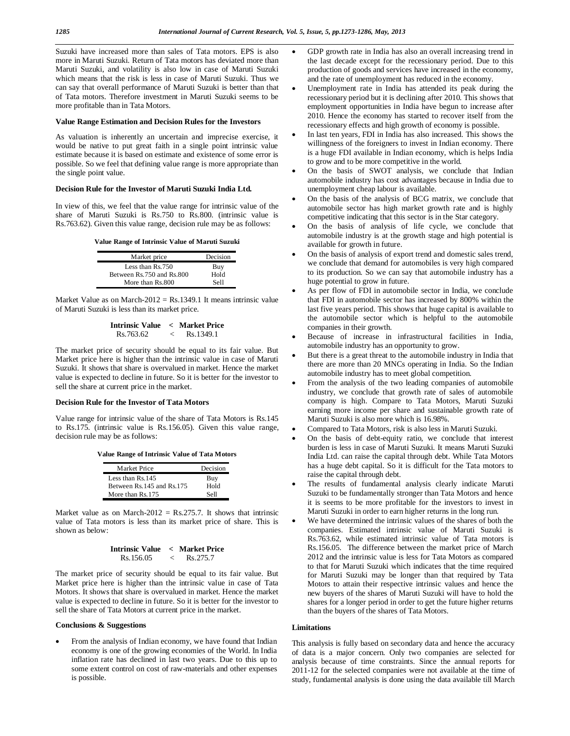Suzuki have increased more than sales of Tata motors. EPS is also more in Maruti Suzuki. Return of Tata motors has deviated more than Maruti Suzuki, and volatility is also low in case of Maruti Suzuki which means that the risk is less in case of Maruti Suzuki. Thus we can say that overall performance of Maruti Suzuki is better than that of Tata motors. Therefore investment in Maruti Suzuki seems to be more profitable than in Tata Motors.

# **Value Range Estimation and Decision Rules for the Investors**

As valuation is inherently an uncertain and imprecise exercise, it would be native to put great faith in a single point intrinsic value estimate because it is based on estimate and existence of some error is possible. So we feel that defining value range is more appropriate than the single point value.

# **Decision Rule for the Investor of Maruti Suzuki India Ltd.**

In view of this, we feel that the value range for intrinsic value of the share of Maruti Suzuki is Rs.750 to Rs.800. (intrinsic value is Rs.763.62). Given this value range, decision rule may be as follows:

|  | Value Range of Intrinsic Value of Maruti Suzuki |  |  |  |
|--|-------------------------------------------------|--|--|--|
|--|-------------------------------------------------|--|--|--|

| Market price              | Decision |
|---------------------------|----------|
| Less than Rs.750          | Buy      |
| Between Rs.750 and Rs.800 | Hold     |
| More than Rs.800          | Sell     |

Market Value as on March-2012 =  $Rs.1349.1$  It means intrinsic value of Maruti Suzuki is less than its market price.

**Intrinsic Value < Market Price** Rs.763.62 < Rs.1349.1

The market price of security should be equal to its fair value. But Market price here is higher than the intrinsic value in case of Maruti Suzuki. It shows that share is overvalued in market. Hence the market value is expected to decline in future. So it is better for the investor to sell the share at current price in the market.

# **Decision Rule for the Investor of Tata Motors**

Value range for intrinsic value of the share of Tata Motors is Rs.145 to Rs.175. (intrinsic value is Rs.156.05). Given this value range, decision rule may be as follows:

**Value Range of Intrinsic Value of Tata Motors**

| Market Price                | Decision |
|-----------------------------|----------|
| Less than Rs.145            | Buy      |
| Between Rs. 145 and Rs. 175 | Hold     |
| More than Rs. 175           | Sell     |

Market value as on March-2012 = Rs.275.7. It shows that intrinsic value of Tata motors is less than its market price of share. This is shown as below:

| Intrinsic Value < Market Price |          |
|--------------------------------|----------|
| Rs. 156.05                     | Rs.275.7 |

The market price of security should be equal to its fair value. But Market price here is higher than the intrinsic value in case of Tata Motors. It shows that share is overvalued in market. Hence the market value is expected to decline in future. So it is better for the investor to sell the share of Tata Motors at current price in the market.

# **Conclusions & Suggestions**

 From the analysis of Indian economy, we have found that Indian economy is one of the growing economies of the World. In India inflation rate has declined in last two years. Due to this up to some extent control on cost of raw-materials and other expenses is possible.

- GDP growth rate in India has also an overall increasing trend in the last decade except for the recessionary period. Due to this production of goods and services have increased in the economy, and the rate of unemployment has reduced in the economy.
- Unemployment rate in India has attended its peak during the recessionary period but it is declining after 2010. This shows that employment opportunities in India have begun to increase after 2010. Hence the economy has started to recover itself from the recessionary effects and high growth of economy is possible.
- In last ten years, FDI in India has also increased. This shows the willingness of the foreigners to invest in Indian economy. There is a huge FDI available in Indian economy, which is helps India to grow and to be more competitive in the world.
- On the basis of SWOT analysis, we conclude that Indian automobile industry has cost advantages because in India due to unemployment cheap labour is available.
- On the basis of the analysis of BCG matrix, we conclude that automobile sector has high market growth rate and is highly competitive indicating that this sector is in the Star category.
- On the basis of analysis of life cycle, we conclude that automobile industry is at the growth stage and high potential is available for growth in future.
- On the basis of analysis of export trend and domestic sales trend, we conclude that demand for automobiles is very high compared to its production. So we can say that automobile industry has a huge potential to grow in future.
- As per flow of FDI in automobile sector in India, we conclude that FDI in automobile sector has increased by 800% within the last five years period. This shows that huge capital is available to the automobile sector which is helpful to the automobile companies in their growth.
- Because of increase in infrastructural facilities in India, automobile industry has an opportunity to grow.
- But there is a great threat to the automobile industry in India that there are more than 20 MNCs operating in India. So the Indian automobile industry has to meet global competition.
- From the analysis of the two leading companies of automobile industry, we conclude that growth rate of sales of automobile company is high. Compare to Tata Motors, Maruti Suzuki earning more income per share and sustainable growth rate of Maruti Suzuki is also more which is 16.98%.
- Compared to Tata Motors, risk is also less in Maruti Suzuki.
- On the basis of debt-equity ratio, we conclude that interest burden is less in case of Maruti Suzuki. It means Maruti Suzuki India Ltd. can raise the capital through debt. While Tata Motors has a huge debt capital. So it is difficult for the Tata motors to raise the capital through debt.
- The results of fundamental analysis clearly indicate Maruti Suzuki to be fundamentally stronger than Tata Motors and hence it is seems to be more profitable for the investors to invest in Maruti Suzuki in order to earn higher returns in the long run.
- We have determined the intrinsic values of the shares of both the companies. Estimated intrinsic value of Maruti Suzuki is Rs.763.62, while estimated intrinsic value of Tata motors is Rs.156.05. The difference between the market price of March 2012 and the intrinsic value is less for Tata Motors as compared to that for Maruti Suzuki which indicates that the time required for Maruti Suzuki may be longer than that required by Tata Motors to attain their respective intrinsic values and hence the new buyers of the shares of Maruti Suzuki will have to hold the shares for a longer period in order to get the future higher returns than the buyers of the shares of Tata Motors.

## **Limitations**

This analysis is fully based on secondary data and hence the accuracy of data is a major concern. Only two companies are selected for analysis because of time constraints. Since the annual reports for 2011-12 for the selected companies were not available at the time of study, fundamental analysis is done using the data available till March